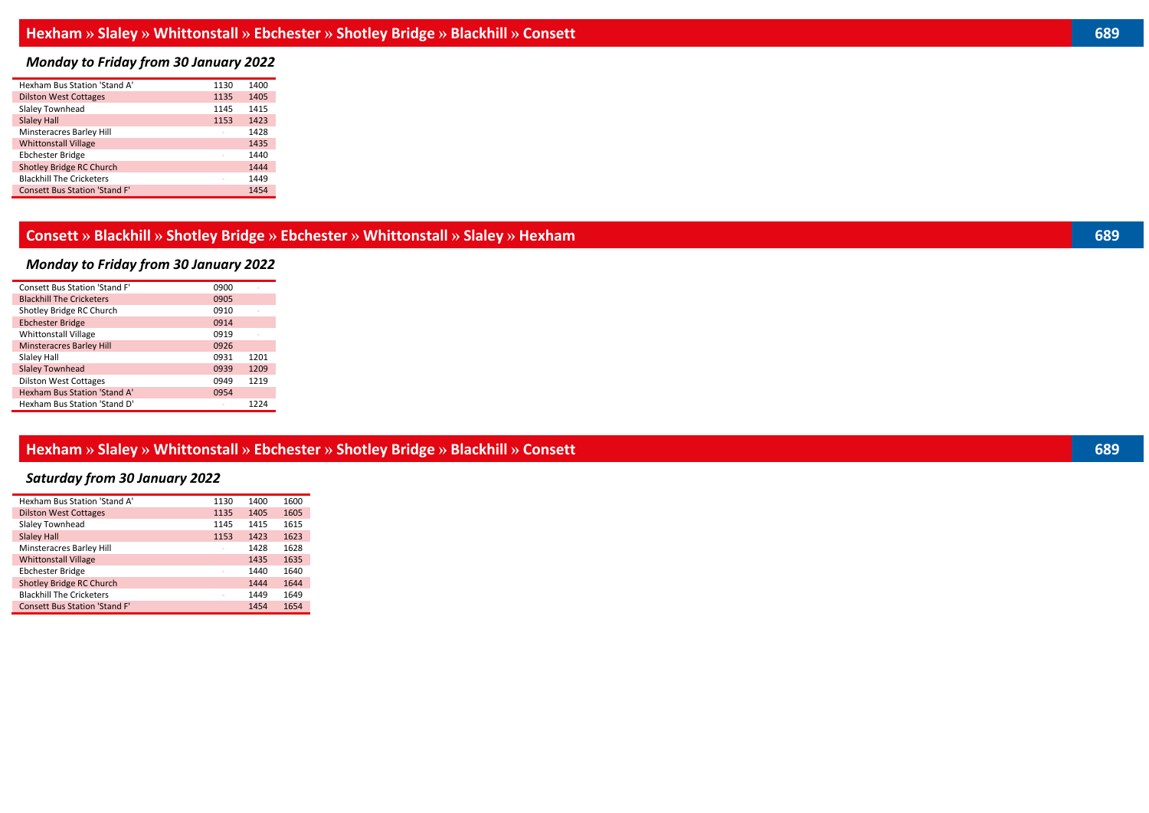## *Monday to Friday from 30 January 2022*

| Hexham Bus Station 'Stand A'         | 1130 | 1400 |
|--------------------------------------|------|------|
| <b>Dilston West Cottages</b>         | 1135 | 1405 |
| Slaley Townhead                      | 1145 | 1415 |
| <b>Slaley Hall</b>                   | 1153 | 1423 |
| Minsteracres Barley Hill             |      | 1428 |
| <b>Whittonstall Village</b>          |      | 1435 |
| <b>Ebchester Bridge</b>              |      | 1440 |
| <b>Shotley Bridge RC Church</b>      |      | 1444 |
| <b>Blackhill The Cricketers</b>      |      | 1449 |
| <b>Consett Bus Station 'Stand F'</b> |      | 1454 |

#### **Consett » Blackhill » Shotley Bridge » Ebchester » Whittonstall » Slaley » Hexham 689**

## *Monday to Friday from 30 January 2022*

| 0900 |      |
|------|------|
| 0905 |      |
| 0910 |      |
| 0914 |      |
| 0919 |      |
| 0926 |      |
| 0931 | 1201 |
| 0939 | 1209 |
| 0949 | 1219 |
| 0954 |      |
|      | 1224 |
|      |      |

### **Hexham » Slaley » Whittonstall » Ebchester » Shotley Bridge » Blackhill » Consett 689**

## *Saturday from 30 January 2022*

| Hexham Bus Station 'Stand A'         | 1130                     | 1400 | 1600 |
|--------------------------------------|--------------------------|------|------|
| <b>Dilston West Cottages</b>         | 1135                     | 1405 | 1605 |
| Slaley Townhead                      | 1145                     | 1415 | 1615 |
| <b>Slaley Hall</b>                   | 1153                     | 1423 | 1623 |
| Minsteracres Barley Hill             |                          | 1428 | 1628 |
| <b>Whittonstall Village</b>          |                          | 1435 | 1635 |
| <b>Ebchester Bridge</b>              | $\overline{\phantom{a}}$ | 1440 | 1640 |
| <b>Shotley Bridge RC Church</b>      |                          | 1444 | 1644 |
| <b>Blackhill The Cricketers</b>      |                          | 1449 | 1649 |
| <b>Consett Bus Station 'Stand F'</b> |                          | 1454 | 1654 |